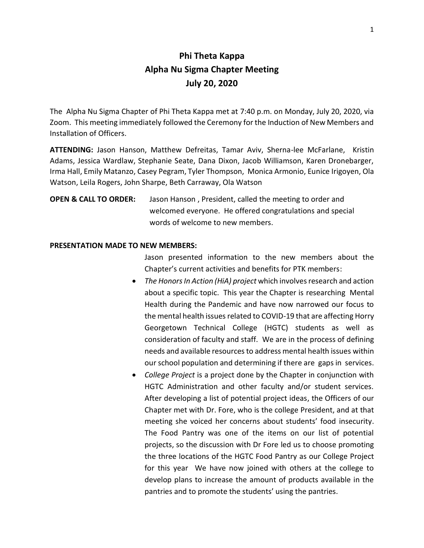## **Phi Theta Kappa Alpha Nu Sigma Chapter Meeting July 20, 2020**

The Alpha Nu Sigma Chapter of Phi Theta Kappa met at 7:40 p.m. on Monday, July 20, 2020, via Zoom. This meeting immediately followed the Ceremony for the Induction of New Members and Installation of Officers.

**ATTENDING:** Jason Hanson, Matthew Defreitas, Tamar Aviv, Sherna-lee McFarlane, Kristin Adams, Jessica Wardlaw, Stephanie Seate, Dana Dixon, Jacob Williamson, Karen Dronebarger, Irma Hall, Emily Matanzo, Casey Pegram, Tyler Thompson, Monica Armonio, Eunice Irigoyen, Ola Watson, Leila Rogers, John Sharpe, Beth Carraway, Ola Watson

**OPEN & CALL TO ORDER:** Jason Hanson , President, called the meeting to order and welcomed everyone. He offered congratulations and special words of welcome to new members.

## **PRESENTATION MADE TO NEW MEMBERS:**

Jason presented information to the new members about the Chapter's current activities and benefits for PTK members:

- *The Honors In Action (HiA) project* which involves research and action about a specific topic. This year the Chapter is researching Mental Health during the Pandemic and have now narrowed our focus to the mental health issues related to COVID-19 that are affecting Horry Georgetown Technical College (HGTC) students as well as consideration of faculty and staff. We are in the process of defining needs and available resources to address mental health issues within our school population and determining if there are gaps in services.
- *College Project* is a project done by the Chapter in conjunction with HGTC Administration and other faculty and/or student services. After developing a list of potential project ideas, the Officers of our Chapter met with Dr. Fore, who is the college President, and at that meeting she voiced her concerns about students' food insecurity. The Food Pantry was one of the items on our list of potential projects, so the discussion with Dr Fore led us to choose promoting the three locations of the HGTC Food Pantry as our College Project for this year We have now joined with others at the college to develop plans to increase the amount of products available in the pantries and to promote the students' using the pantries.